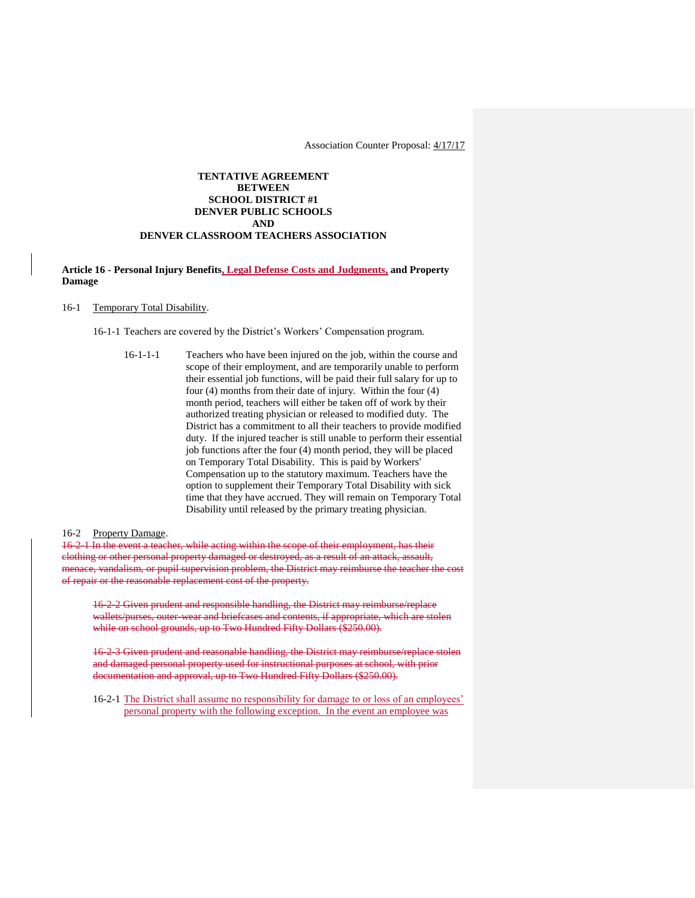Association Counter Proposal: 4/17/17

## **TENTATIVE AGREEMENT BETWEEN SCHOOL DISTRICT #1 DENVER PUBLIC SCHOOLS AND DENVER CLASSROOM TEACHERS ASSOCIATION**

## **Article 16 - Personal Injury Benefits, Legal Defense Costs and Judgments, and Property Damage**

#### 16-1 Temporary Total Disability.

16-1-1 Teachers are covered by the District's Workers' Compensation program.

16-1-1-1 Teachers who have been injured on the job, within the course and scope of their employment, and are temporarily unable to perform their essential job functions, will be paid their full salary for up to four (4) months from their date of injury. Within the four (4) month period, teachers will either be taken off of work by their authorized treating physician or released to modified duty. The District has a commitment to all their teachers to provide modified duty. If the injured teacher is still unable to perform their essential job functions after the four (4) month period, they will be placed on Temporary Total Disability. This is paid by Workers' Compensation up to the statutory maximum. Teachers have the option to supplement their Temporary Total Disability with sick time that they have accrued. They will remain on Temporary Total Disability until released by the primary treating physician.

### 16-2 Property Damage.

16-2-1 In the event a teacher, while acting within the scope of their employment, has their clothing or other personal property damaged or destroyed, as a result of an attack, assault, menace, vandalism, or pupil supervision problem, the District may reimburse the teacher the cost of repair or the reasonable replacement cost of the property.

16-2-2 Given prudent and responsible handling, the District may reimburse/replace wallets/purses, outer-wear and briefcases and contents, if appropriate, which are stolen while on school grounds, up to Two Hundred Fifty Dollars (\$250.00).

16-2-3 Given prudent and reasonable handling, the District may reimburse/replace stolen and damaged personal property used for instructional purposes at school, with prior documentation and approval, up to Two Hundred Fifty Dollars (\$250.00).

16-2-1 The District shall assume no responsibility for damage to or loss of an employees' personal property with the following exception. In the event an employee was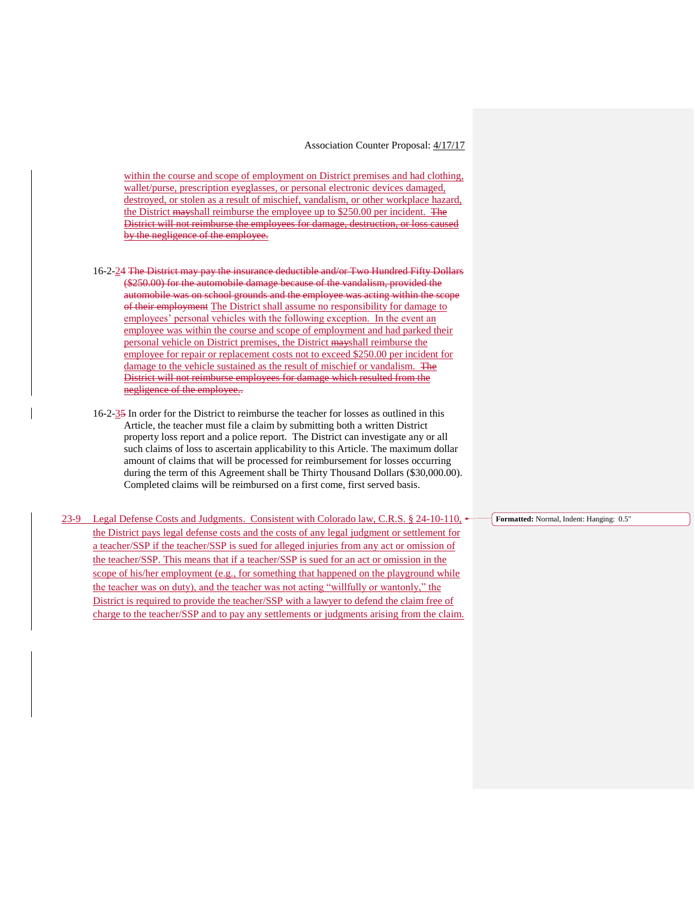within the course and scope of employment on District premises and had clothing, wallet/purse, prescription eyeglasses, or personal electronic devices damaged, destroyed, or stolen as a result of mischief, vandalism, or other workplace hazard, the District mayshall reimburse the employee up to \$250.00 per incident. The District will not reimburse the employees for damage, destruction, or loss caused by the negligence of the employee.

- 16-2-24 The District may pay the insurance deductible and/or Two Hundred Fifty Dollars (\$250.00) for the automobile damage because of the vandalism, provided the automobile was on school grounds and the employee was acting within the scope of their employment The District shall assume no responsibility for damage to employees' personal vehicles with the following exception. In the event an employee was within the course and scope of employment and had parked their personal vehicle on District premises, the District mayshall reimburse the employee for repair or replacement costs not to exceed \$250.00 per incident for damage to the vehicle sustained as the result of mischief or vandalism. The District will not reimburse employees for damage which resulted from the negligence of the employee..
- 16-2-35 In order for the District to reimburse the teacher for losses as outlined in this Article, the teacher must file a claim by submitting both a written District property loss report and a police report. The District can investigate any or all such claims of loss to ascertain applicability to this Article. The maximum dollar amount of claims that will be processed for reimbursement for losses occurring during the term of this Agreement shall be Thirty Thousand Dollars (\$30,000.00). Completed claims will be reimbursed on a first come, first served basis.
- 23-9 Legal Defense Costs and Judgments. Consistent with Colorado law, C.R.S. § 24-10-110, the District pays legal defense costs and the costs of any legal judgment or settlement for a teacher/SSP if the teacher/SSP is sued for alleged injuries from any act or omission of the teacher/SSP. This means that if a teacher/SSP is sued for an act or omission in the scope of his/her employment (e.g., for something that happened on the playground while the teacher was on duty), and the teacher was not acting "willfully or wantonly," the District is required to provide the teacher/SSP with a lawyer to defend the claim free of charge to the teacher/SSP and to pay any settlements or judgments arising from the claim.

**Formatted:** Normal, Indent: Hanging: 0.5"